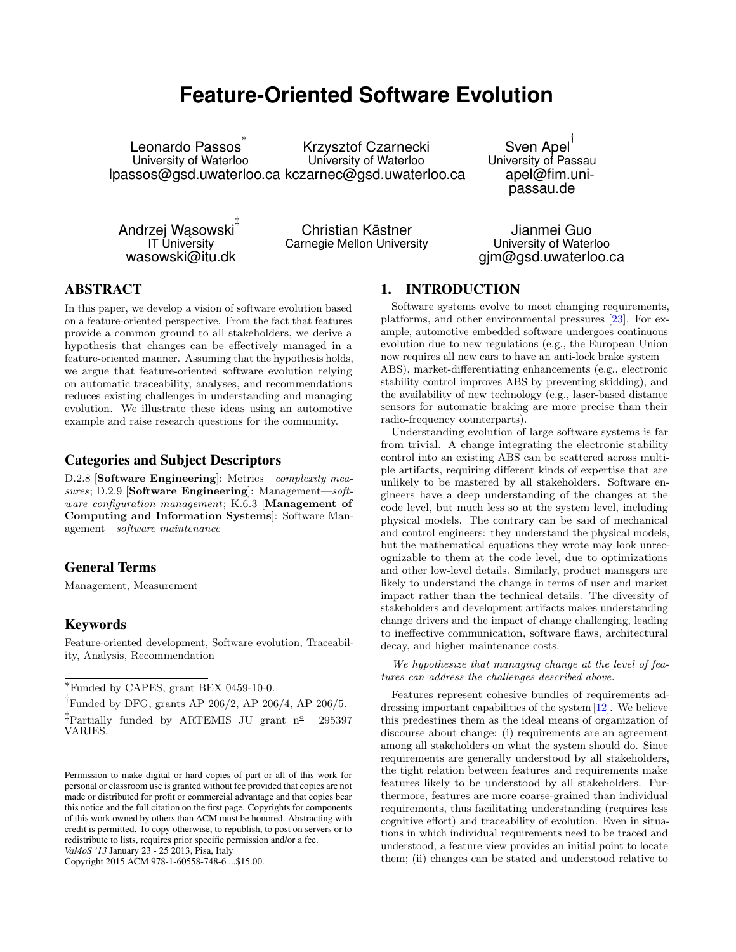# **Feature-Oriented Software Evolution**

Leonardo Passos<sup>\*</sup> University of Waterloo lpassos@gsd.uwaterloo.ca kczarnec@gsd.uwaterloo.ca Krzysztof Czarnecki University of Waterloo

Sven Apel $^\dagger$ University of Passau apel@fim.unipassau.de

Andrzej Wąsowski $^\ddagger$ IT University wasowski@itu.dk

Christian Kästner Carnegie Mellon University

Jianmei Guo University of Waterloo gjm@gsd.uwaterloo.ca

# ABSTRACT

In this paper, we develop a vision of software evolution based on a feature-oriented perspective. From the fact that features provide a common ground to all stakeholders, we derive a hypothesis that changes can be effectively managed in a feature-oriented manner. Assuming that the hypothesis holds, we argue that feature-oriented software evolution relying on automatic traceability, analyses, and recommendations reduces existing challenges in understanding and managing evolution. We illustrate these ideas using an automotive example and raise research questions for the community.

## Categories and Subject Descriptors

D.2.8 [Software Engineering]: Metrics—complexity measures; D.2.9 [Software Engineering]: Management—software configuration management; K.6.3 [Management of Computing and Information Systems]: Software Management—software maintenance

# General Terms

Management, Measurement

## Keywords

Feature-oriented development, Software evolution, Traceability, Analysis, Recommendation

<sup>†</sup>Funded by DFG, grants AP 206/2, AP 206/4, AP 206/5.

Copyright 2015 ACM 978-1-60558-748-6 ...\$15.00.

# 1. INTRODUCTION

Software systems evolve to meet changing requirements, platforms, and other environmental pressures [\[23\]](#page-7-0). For example, automotive embedded software undergoes continuous evolution due to new regulations (e.g., the European Union now requires all new cars to have an anti-lock brake system— ABS), market-differentiating enhancements (e.g., electronic stability control improves ABS by preventing skidding), and the availability of new technology (e.g., laser-based distance sensors for automatic braking are more precise than their radio-frequency counterparts).

Understanding evolution of large software systems is far from trivial. A change integrating the electronic stability control into an existing ABS can be scattered across multiple artifacts, requiring different kinds of expertise that are unlikely to be mastered by all stakeholders. Software engineers have a deep understanding of the changes at the code level, but much less so at the system level, including physical models. The contrary can be said of mechanical and control engineers: they understand the physical models, but the mathematical equations they wrote may look unrecognizable to them at the code level, due to optimizations and other low-level details. Similarly, product managers are likely to understand the change in terms of user and market impact rather than the technical details. The diversity of stakeholders and development artifacts makes understanding change drivers and the impact of change challenging, leading to ineffective communication, software flaws, architectural decay, and higher maintenance costs.

We hypothesize that managing change at the level of features can address the challenges described above.

Features represent cohesive bundles of requirements addressing important capabilities of the system [\[12\]](#page-6-0). We believe this predestines them as the ideal means of organization of discourse about change: (i) requirements are an agreement among all stakeholders on what the system should do. Since requirements are generally understood by all stakeholders, the tight relation between features and requirements make features likely to be understood by all stakeholders. Furthermore, features are more coarse-grained than individual requirements, thus facilitating understanding (requires less cognitive effort) and traceability of evolution. Even in situations in which individual requirements need to be traced and understood, a feature view provides an initial point to locate them; (ii) changes can be stated and understood relative to

<sup>∗</sup>Funded by CAPES, grant BEX 0459-10-0.

<sup>&</sup>lt;sup>‡</sup>Partially funded by ARTEMIS JU grant  $n^{\circ}$ 295397 VARIES.

Permission to make digital or hard copies of part or all of this work for personal or classroom use is granted without fee provided that copies are not made or distributed for profit or commercial advantage and that copies bear this notice and the full citation on the first page. Copyrights for components of this work owned by others than ACM must be honored. Abstracting with credit is permitted. To copy otherwise, to republish, to post on servers or to redistribute to lists, requires prior specific permission and/or a fee. *VaMoS '13* January 23 - 25 2013, Pisa, Italy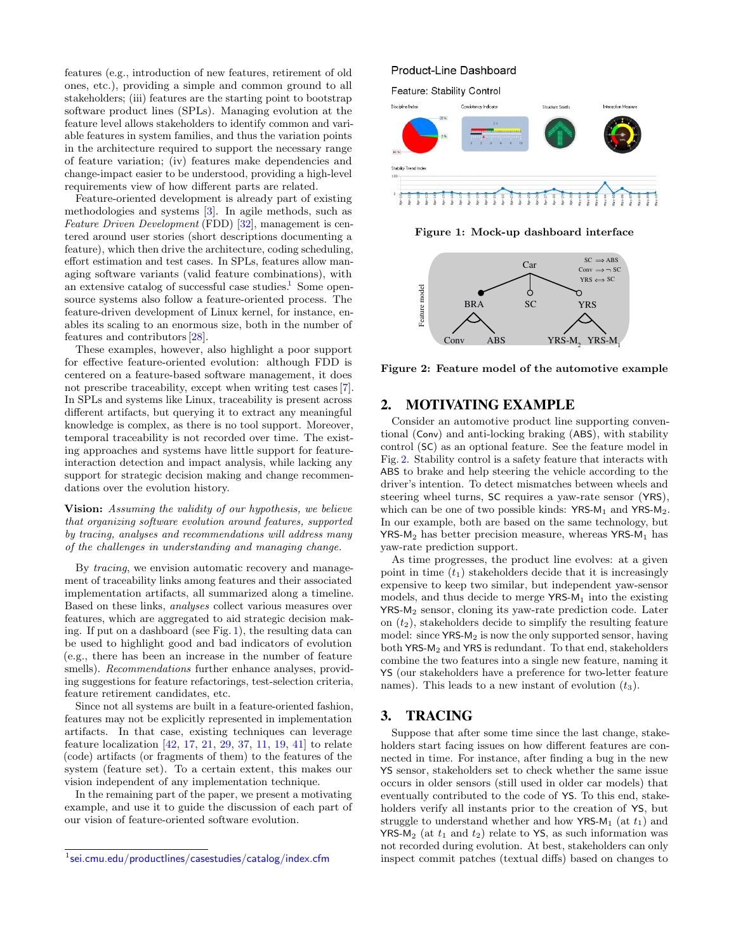features (e.g., introduction of new features, retirement of old ones, etc.), providing a simple and common ground to all stakeholders; (iii) features are the starting point to bootstrap software product lines (SPLs). Managing evolution at the feature level allows stakeholders to identify common and variable features in system families, and thus the variation points in the architecture required to support the necessary range of feature variation; (iv) features make dependencies and change-impact easier to be understood, providing a high-level requirements view of how different parts are related.

Feature-oriented development is already part of existing methodologies and systems [\[3\]](#page-6-1). In agile methods, such as Feature Driven Development (FDD) [\[32\]](#page-7-1), management is centered around user stories (short descriptions documenting a feature), which then drive the architecture, coding scheduling, effort estimation and test cases. In SPLs, features allow managing software variants (valid feature combinations), with an extensive catalog of successful case studie[s.](#page-1-0)<sup>1</sup> Some opensource systems also follow a feature-oriented process. The feature-driven development of Linux kernel, for instance, enables its scaling to an enormous size, both in the number of features and contributors [\[28\]](#page-7-2).

These examples, however, also highlight a poor support for effective feature-oriented evolution: although FDD is centered on a feature-based software management, it does not prescribe traceability, except when writing test cases [\[7\]](#page-6-2). In SPLs and systems like Linux, traceability is present across different artifacts, but querying it to extract any meaningful knowledge is complex, as there is no tool support. Moreover, temporal traceability is not recorded over time. The existing approaches and systems have little support for featureinteraction detection and impact analysis, while lacking any support for strategic decision making and change recommendations over the evolution history.

Vision: Assuming the validity of our hypothesis, we believe that organizing software evolution around features, supported by tracing, analyses and recommendations will address many of the challenges in understanding and managing change.

By tracing, we envision automatic recovery and management of traceability links among features and their associated implementation artifacts, all summarized along a timeline. Based on these links, analyses collect various measures over features, which are aggregated to aid strategic decision making. If put on a dashboard (see Fig. [1\)](#page-1-1), the resulting data can be used to highlight good and bad indicators of evolution (e.g., there has been an increase in the number of feature smells). Recommendations further enhance analyses, providing suggestions for feature refactorings, test-selection criteria, feature retirement candidates, etc.

Since not all systems are built in a feature-oriented fashion, features may not be explicitly represented in implementation artifacts. In that case, existing techniques can leverage feature localization [\[42,](#page-7-3) [17,](#page-7-4) [21,](#page-7-5) [29,](#page-7-6) [37,](#page-7-7) [11,](#page-6-3) [19,](#page-7-8) [41\]](#page-7-9) to relate (code) artifacts (or fragments of them) to the features of the system (feature set). To a certain extent, this makes our vision independent of any implementation technique.

In the remaining part of the paper, we present a motivating example, and use it to guide the discussion of each part of our vision of feature-oriented software evolution.

#### Product-Line Dashboard



<span id="page-1-1"></span>Figure 1: Mock-up dashboard interface



<span id="page-1-2"></span>Figure 2: Feature model of the automotive example

## 2. MOTIVATING EXAMPLE

Consider an automotive product line supporting conventional (Conv) and anti-locking braking (ABS), with stability control (SC) as an optional feature. See the feature model in Fig. [2.](#page-1-2) Stability control is a safety feature that interacts with ABS to brake and help steering the vehicle according to the driver's intention. To detect mismatches between wheels and steering wheel turns, SC requires a yaw-rate sensor (YRS), which can be one of two possible kinds:  $YRS-M_1$  and  $YRS-M_2$ . In our example, both are based on the same technology, but  $YRS-M_2$  has better precision measure, whereas  $YRS-M_1$  has yaw-rate prediction support.

As time progresses, the product line evolves: at a given point in time  $(t_1)$  stakeholders decide that it is increasingly expensive to keep two similar, but independent yaw-sensor models, and thus decide to merge  $YRS-M_1$  into the existing YRS-M<sup>2</sup> sensor, cloning its yaw-rate prediction code. Later on  $(t_2)$ , stakeholders decide to simplify the resulting feature model: since YRS-M<sup>2</sup> is now the only supported sensor, having both YRS-M<sup>2</sup> and YRS is redundant. To that end, stakeholders combine the two features into a single new feature, naming it YS (our stakeholders have a preference for two-letter feature names). This leads to a new instant of evolution  $(t_3)$ .

## 3. TRACING

Suppose that after some time since the last change, stakeholders start facing issues on how different features are connected in time. For instance, after finding a bug in the new YS sensor, stakeholders set to check whether the same issue occurs in older sensors (still used in older car models) that eventually contributed to the code of YS. To this end, stakeholders verify all instants prior to the creation of YS, but struggle to understand whether and how YRS- $M_1$  (at  $t_1$ ) and YRS-M<sub>2</sub> (at  $t_1$  and  $t_2$ ) relate to YS, as such information was not recorded during evolution. At best, stakeholders can only inspect commit patches (textual diffs) based on changes to

<span id="page-1-0"></span><sup>1</sup> <sei.cmu.edu/productlines/casestudies/catalog/index.cfm>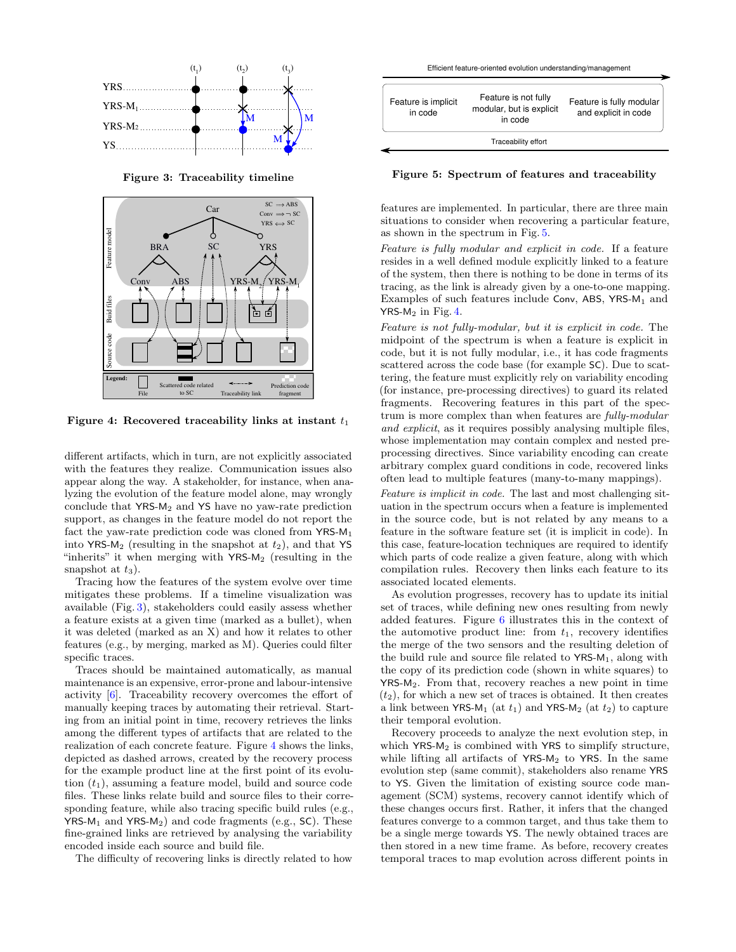

<span id="page-2-0"></span>Figure 3: Traceability timeline



<span id="page-2-1"></span>Figure 4: Recovered traceability links at instant  $t_1$ 

different artifacts, which in turn, are not explicitly associated with the features they realize. Communication issues also appear along the way. A stakeholder, for instance, when analyzing the evolution of the feature model alone, may wrongly conclude that  $YRS-M_2$  and YS have no yaw-rate prediction support, as changes in the feature model do not report the fact the yaw-rate prediction code was cloned from YRS-M<sup>1</sup> into YRS-M<sub>2</sub> (resulting in the snapshot at  $t_2$ ), and that YS "inherits" it when merging with  $YRS-M_2$  (resulting in the snapshot at  $t_3$ ).

Tracing how the features of the system evolve over time mitigates these problems. If a timeline visualization was available (Fig. [3\)](#page-2-0), stakeholders could easily assess whether a feature exists at a given time (marked as a bullet), when it was deleted (marked as an X) and how it relates to other features (e.g., by merging, marked as M). Queries could filter specific traces.

Traces should be maintained automatically, as manual maintenance is an expensive, error-prone and labour-intensive activity [\[6\]](#page-6-4). Traceability recovery overcomes the effort of manually keeping traces by automating their retrieval. Starting from an initial point in time, recovery retrieves the links among the different types of artifacts that are related to the realization of each concrete feature. Figure [4](#page-2-1) shows the links, depicted as dashed arrows, created by the recovery process for the example product line at the first point of its evolution  $(t_1)$ , assuming a feature model, build and source code files. These links relate build and source files to their corresponding feature, while also tracing specific build rules (e.g.,  $YRS-M_1$  and  $YRS-M_2$ ) and code fragments (e.g., SC). These fine-grained links are retrieved by analysing the variability encoded inside each source and build file.

The difficulty of recovering links is directly related to how



<span id="page-2-2"></span>Figure 5: Spectrum of features and traceability

features are implemented. In particular, there are three main situations to consider when recovering a particular feature, as shown in the spectrum in Fig. [5.](#page-2-2)

Feature is fully modular and explicit in code. If a feature resides in a well defined module explicitly linked to a feature of the system, then there is nothing to be done in terms of its tracing, as the link is already given by a one-to-one mapping. Examples of such features include Conv, ABS,  $YRS-M_1$  and YRS- $M_2$  in Fig. [4.](#page-2-1)

Feature is not fully-modular, but it is explicit in code. The midpoint of the spectrum is when a feature is explicit in code, but it is not fully modular, i.e., it has code fragments scattered across the code base (for example SC). Due to scattering, the feature must explicitly rely on variability encoding (for instance, pre-processing directives) to guard its related fragments. Recovering features in this part of the spectrum is more complex than when features are fully-modular and explicit, as it requires possibly analysing multiple files, whose implementation may contain complex and nested preprocessing directives. Since variability encoding can create arbitrary complex guard conditions in code, recovered links often lead to multiple features (many-to-many mappings).

Feature is implicit in code. The last and most challenging situation in the spectrum occurs when a feature is implemented in the source code, but is not related by any means to a feature in the software feature set (it is implicit in code). In this case, feature-location techniques are required to identify which parts of code realize a given feature, along with which compilation rules. Recovery then links each feature to its associated located elements.

As evolution progresses, recovery has to update its initial set of traces, while defining new ones resulting from newly added features. Figure [6](#page-4-0) illustrates this in the context of the automotive product line: from  $t_1$ , recovery identifies the merge of the two sensors and the resulting deletion of the build rule and source file related to  $YRS-M_1$ , along with the copy of its prediction code (shown in white squares) to YRS-M2. From that, recovery reaches a new point in time  $(t<sub>2</sub>)$ , for which a new set of traces is obtained. It then creates a link between YRS-M<sub>1</sub> (at  $t_1$ ) and YRS-M<sub>2</sub> (at  $t_2$ ) to capture their temporal evolution.

Recovery proceeds to analyze the next evolution step, in which  $YRS-M_2$  is combined with YRS to simplify structure, while lifting all artifacts of  $YRS-M<sub>2</sub>$  to YRS. In the same evolution step (same commit), stakeholders also rename YRS to YS. Given the limitation of existing source code management (SCM) systems, recovery cannot identify which of these changes occurs first. Rather, it infers that the changed features converge to a common target, and thus take them to be a single merge towards YS. The newly obtained traces are then stored in a new time frame. As before, recovery creates temporal traces to map evolution across different points in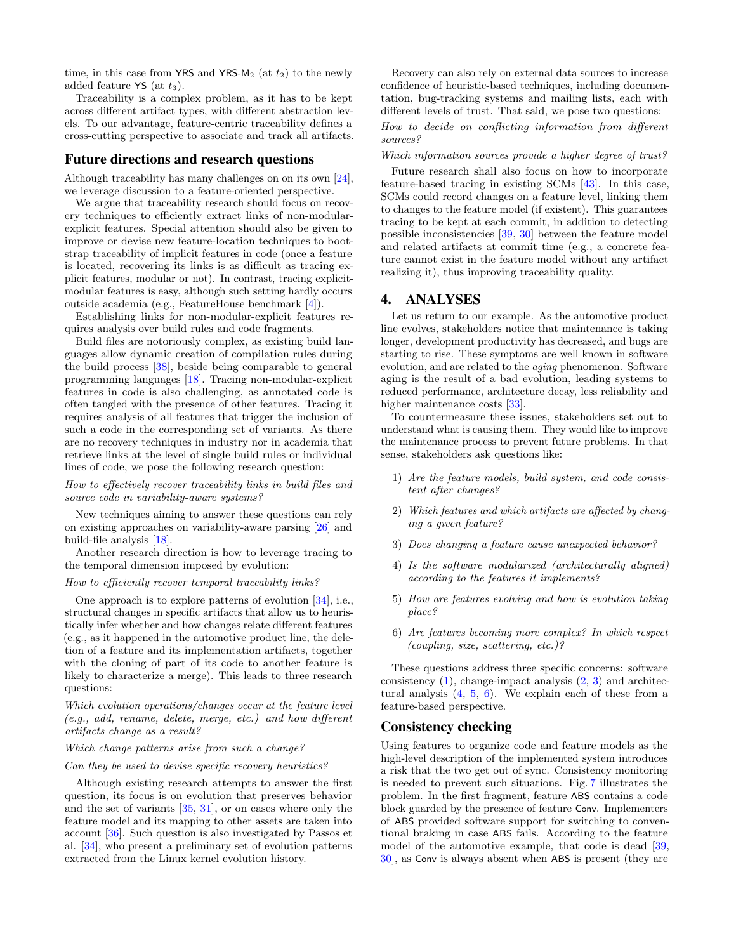time, in this case from YRS and YRS-M<sub>2</sub> (at  $t_2$ ) to the newly added feature  $\overline{YS}$  (at  $t_3$ ).

Traceability is a complex problem, as it has to be kept across different artifact types, with different abstraction levels. To our advantage, feature-centric traceability defines a cross-cutting perspective to associate and track all artifacts.

## Future directions and research questions

Although traceability has many challenges on on its own [\[24\]](#page-7-10), we leverage discussion to a feature-oriented perspective.

We argue that traceability research should focus on recovery techniques to efficiently extract links of non-modularexplicit features. Special attention should also be given to improve or devise new feature-location techniques to bootstrap traceability of implicit features in code (once a feature is located, recovering its links is as difficult as tracing explicit features, modular or not). In contrast, tracing explicitmodular features is easy, although such setting hardly occurs outside academia (e.g., FeatureHouse benchmark [\[4\]](#page-6-5)).

Establishing links for non-modular-explicit features requires analysis over build rules and code fragments.

Build files are notoriously complex, as existing build languages allow dynamic creation of compilation rules during the build process [\[38\]](#page-7-11), beside being comparable to general programming languages [\[18\]](#page-7-12). Tracing non-modular-explicit features in code is also challenging, as annotated code is often tangled with the presence of other features. Tracing it requires analysis of all features that trigger the inclusion of such a code in the corresponding set of variants. As there are no recovery techniques in industry nor in academia that retrieve links at the level of single build rules or individual lines of code, we pose the following research question:

#### How to effectively recover traceability links in build files and source code in variability-aware systems?

New techniques aiming to answer these questions can rely on existing approaches on variability-aware parsing [\[26\]](#page-7-13) and build-file analysis [\[18\]](#page-7-12).

Another research direction is how to leverage tracing to the temporal dimension imposed by evolution:

#### How to efficiently recover temporal traceability links?

One approach is to explore patterns of evolution [\[34\]](#page-7-14), i.e., structural changes in specific artifacts that allow us to heuristically infer whether and how changes relate different features (e.g., as it happened in the automotive product line, the deletion of a feature and its implementation artifacts, together with the cloning of part of its code to another feature is likely to characterize a merge). This leads to three research questions:

Which evolution operations/changes occur at the feature level (e.g., add, rename, delete, merge, etc.) and how different artifacts change as a result?

#### Which change patterns arise from such a change?

#### Can they be used to devise specific recovery heuristics?

Although existing research attempts to answer the first question, its focus is on evolution that preserves behavior and the set of variants [\[35,](#page-7-15) [31\]](#page-7-16), or on cases where only the feature model and its mapping to other assets are taken into account [\[36\]](#page-7-17). Such question is also investigated by Passos et al. [\[34\]](#page-7-14), who present a preliminary set of evolution patterns extracted from the Linux kernel evolution history.

Recovery can also rely on external data sources to increase confidence of heuristic-based techniques, including documentation, bug-tracking systems and mailing lists, each with different levels of trust. That said, we pose two questions:

How to decide on conflicting information from different sources?

Which information sources provide a higher degree of trust?

Future research shall also focus on how to incorporate feature-based tracing in existing SCMs [\[43\]](#page-7-18). In this case, SCMs could record changes on a feature level, linking them to changes to the feature model (if existent). This guarantees tracing to be kept at each commit, in addition to detecting possible inconsistencies [\[39,](#page-7-19) [30\]](#page-7-20) between the feature model and related artifacts at commit time (e.g., a concrete feature cannot exist in the feature model without any artifact realizing it), thus improving traceability quality.

## 4. ANALYSES

Let us return to our example. As the automotive product line evolves, stakeholders notice that maintenance is taking longer, development productivity has decreased, and bugs are starting to rise. These symptoms are well known in software evolution, and are related to the aging phenomenon. Software aging is the result of a bad evolution, leading systems to reduced performance, architecture decay, less reliability and higher maintenance costs [\[33\]](#page-7-21).

To countermeasure these issues, stakeholders set out to understand what is causing them. They would like to improve the maintenance process to prevent future problems. In that sense, stakeholders ask questions like:

- <span id="page-3-0"></span>1) Are the feature models, build system, and code consistent after changes?
- <span id="page-3-1"></span>2) Which features and which artifacts are affected by changing a given feature?
- <span id="page-3-2"></span>3) Does changing a feature cause unexpected behavior?
- <span id="page-3-3"></span>4) Is the software modularized (architecturally aligned) according to the features it implements?
- <span id="page-3-4"></span>5) How are features evolving and how is evolution taking place?
- <span id="page-3-5"></span>6) Are features becoming more complex? In which respect (coupling, size, scattering, etc.)?

These questions address three specific concerns: software consistency  $(1)$ , change-impact analysis  $(2, 3)$  $(2, 3)$  $(2, 3)$  and architectural analysis [\(4,](#page-3-3) [5,](#page-3-4) [6\)](#page-3-5). We explain each of these from a feature-based perspective.

## Consistency checking

Using features to organize code and feature models as the high-level description of the implemented system introduces a risk that the two get out of sync. Consistency monitoring is needed to prevent such situations. Fig. [7](#page-5-0) illustrates the problem. In the first fragment, feature ABS contains a code block guarded by the presence of feature Conv. Implementers of ABS provided software support for switching to conventional braking in case ABS fails. According to the feature model of the automotive example, that code is dead [\[39,](#page-7-19) [30\]](#page-7-20), as Conv is always absent when ABS is present (they are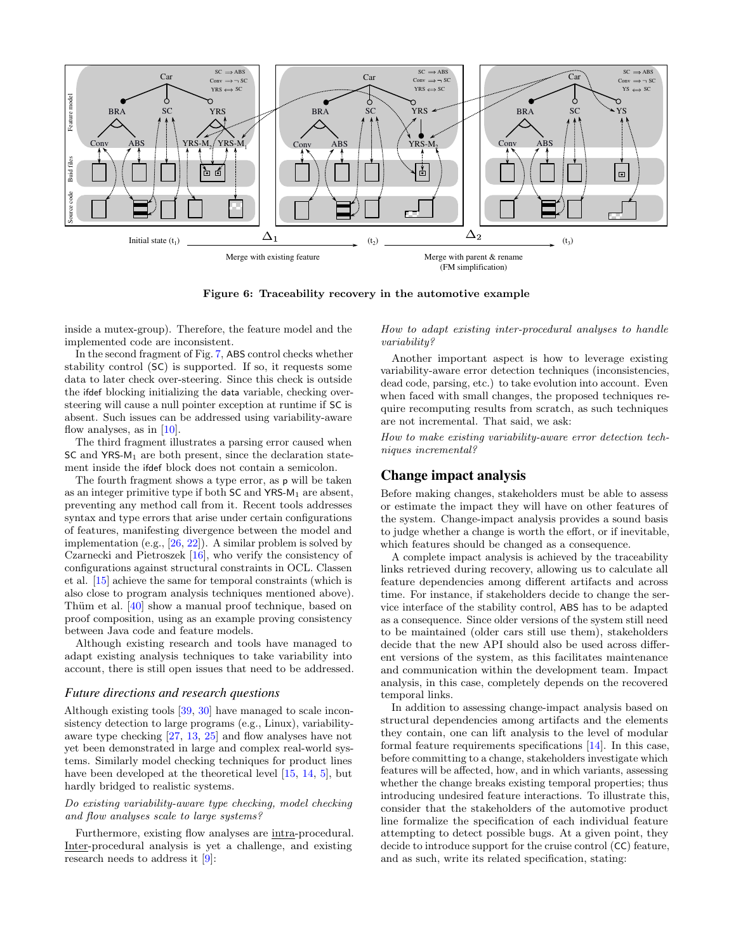

<span id="page-4-0"></span>Figure 6: Traceability recovery in the automotive example

inside a mutex-group). Therefore, the feature model and the implemented code are inconsistent.

In the second fragment of Fig. [7,](#page-5-0) ABS control checks whether stability control (SC) is supported. If so, it requests some data to later check over-steering. Since this check is outside the ifdef blocking initializing the data variable, checking oversteering will cause a null pointer exception at runtime if SC is absent. Such issues can be addressed using variability-aware flow analyses, as in  $[10]$ .

The third fragment illustrates a parsing error caused when  $SC$  and  $YRS-M_1$  are both present, since the declaration statement inside the ifdef block does not contain a semicolon.

The fourth fragment shows a type error, as p will be taken as an integer primitive type if both  $SC$  and  $YRS-M_1$  are absent, preventing any method call from it. Recent tools addresses syntax and type errors that arise under certain configurations of features, manifesting divergence between the model and implementation (e.g., [\[26,](#page-7-13) [22\]](#page-7-22)). A similar problem is solved by Czarnecki and Pietroszek [\[16\]](#page-7-23), who verify the consistency of configurations against structural constraints in OCL. Classen et al. [\[15\]](#page-7-24) achieve the same for temporal constraints (which is also close to program analysis techniques mentioned above). Thum et al.  $[40]$  $[40]$  show a manual proof technique, based on proof composition, using as an example proving consistency between Java code and feature models.

Although existing research and tools have managed to adapt existing analysis techniques to take variability into account, there is still open issues that need to be addressed.

## *Future directions and research questions*

Although existing tools [\[39,](#page-7-19) [30\]](#page-7-20) have managed to scale inconsistency detection to large programs (e.g., Linux), variabilityaware type checking [\[27,](#page-7-26) [13,](#page-6-7) [25\]](#page-7-27) and flow analyses have not yet been demonstrated in large and complex real-world systems. Similarly model checking techniques for product lines have been developed at the theoretical level [\[15,](#page-7-24) [14,](#page-6-8) [5\]](#page-6-9), but hardly bridged to realistic systems.

#### Do existing variability-aware type checking, model checking and flow analyses scale to large systems?

Furthermore, existing flow analyses are intra-procedural. Inter-procedural analysis is yet a challenge, and existing research needs to address it [\[9\]](#page-6-10):

How to adapt existing inter-procedural analyses to handle variability?

Another important aspect is how to leverage existing variability-aware error detection techniques (inconsistencies, dead code, parsing, etc.) to take evolution into account. Even when faced with small changes, the proposed techniques require recomputing results from scratch, as such techniques are not incremental. That said, we ask:

How to make existing variability-aware error detection techniques incremental?

## Change impact analysis

Before making changes, stakeholders must be able to assess or estimate the impact they will have on other features of the system. Change-impact analysis provides a sound basis to judge whether a change is worth the effort, or if inevitable, which features should be changed as a consequence.

A complete impact analysis is achieved by the traceability links retrieved during recovery, allowing us to calculate all feature dependencies among different artifacts and across time. For instance, if stakeholders decide to change the service interface of the stability control, ABS has to be adapted as a consequence. Since older versions of the system still need to be maintained (older cars still use them), stakeholders decide that the new API should also be used across different versions of the system, as this facilitates maintenance and communication within the development team. Impact analysis, in this case, completely depends on the recovered temporal links.

In addition to assessing change-impact analysis based on structural dependencies among artifacts and the elements they contain, one can lift analysis to the level of modular formal feature requirements specifications [\[14\]](#page-6-8). In this case, before committing to a change, stakeholders investigate which features will be affected, how, and in which variants, assessing whether the change breaks existing temporal properties; thus introducing undesired feature interactions. To illustrate this, consider that the stakeholders of the automotive product line formalize the specification of each individual feature attempting to detect possible bugs. At a given point, they decide to introduce support for the cruise control (CC) feature, and as such, write its related specification, stating: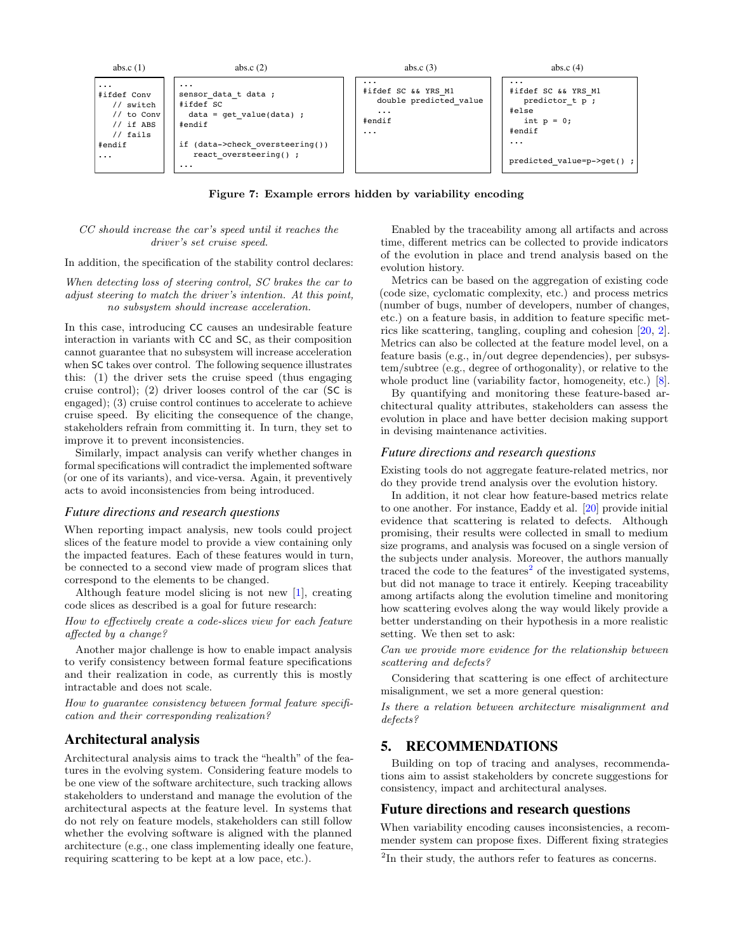

<span id="page-5-0"></span>Figure 7: Example errors hidden by variability encoding

## CC should increase the car's speed until it reaches the driver's set cruise speed.

In addition, the specification of the stability control declares:

#### When detecting loss of steering control, SC brakes the car to adjust steering to match the driver's intention. At this point, no subsystem should increase acceleration.

In this case, introducing CC causes an undesirable feature interaction in variants with CC and SC, as their composition cannot guarantee that no subsystem will increase acceleration when SC takes over control. The following sequence illustrates this: (1) the driver sets the cruise speed (thus engaging cruise control); (2) driver looses control of the car (SC is engaged); (3) cruise control continues to accelerate to achieve cruise speed. By eliciting the consequence of the change, stakeholders refrain from committing it. In turn, they set to improve it to prevent inconsistencies.

Similarly, impact analysis can verify whether changes in formal specifications will contradict the implemented software (or one of its variants), and vice-versa. Again, it preventively acts to avoid inconsistencies from being introduced.

#### *Future directions and research questions*

When reporting impact analysis, new tools could project slices of the feature model to provide a view containing only the impacted features. Each of these features would in turn, be connected to a second view made of program slices that correspond to the elements to be changed.

Although feature model slicing is not new [\[1\]](#page-6-11), creating code slices as described is a goal for future research:

How to effectively create a code-slices view for each feature affected by a change?

Another major challenge is how to enable impact analysis to verify consistency between formal feature specifications and their realization in code, as currently this is mostly intractable and does not scale.

How to guarantee consistency between formal feature specification and their corresponding realization?

# Architectural analysis

Architectural analysis aims to track the "health" of the features in the evolving system. Considering feature models to be one view of the software architecture, such tracking allows stakeholders to understand and manage the evolution of the architectural aspects at the feature level. In systems that do not rely on feature models, stakeholders can still follow whether the evolving software is aligned with the planned architecture (e.g., one class implementing ideally one feature, requiring scattering to be kept at a low pace, etc.).

Enabled by the traceability among all artifacts and across time, different metrics can be collected to provide indicators of the evolution in place and trend analysis based on the evolution history.

Metrics can be based on the aggregation of existing code (code size, cyclomatic complexity, etc.) and process metrics (number of bugs, number of developers, number of changes, etc.) on a feature basis, in addition to feature specific metrics like scattering, tangling, coupling and cohesion [\[20,](#page-7-28) [2\]](#page-6-12). Metrics can also be collected at the feature model level, on a feature basis (e.g., in/out degree dependencies), per subsystem/subtree (e.g., degree of orthogonality), or relative to the whole product line (variability factor, homogeneity, etc.) [\[8\]](#page-6-13).

By quantifying and monitoring these feature-based architectural quality attributes, stakeholders can assess the evolution in place and have better decision making support in devising maintenance activities.

#### *Future directions and research questions*

Existing tools do not aggregate feature-related metrics, nor do they provide trend analysis over the evolution history.

In addition, it not clear how feature-based metrics relate to one another. For instance, Eaddy et al. [\[20\]](#page-7-28) provide initial evidence that scattering is related to defects. Although promising, their results were collected in small to medium size programs, and analysis was focused on a single version of the subjects under analysis. Moreover, the authors manually traced the code to the features<sup>[2](#page-5-1)</sup> of the investigated systems, but did not manage to trace it entirely. Keeping traceability among artifacts along the evolution timeline and monitoring how scattering evolves along the way would likely provide a better understanding on their hypothesis in a more realistic setting. We then set to ask:

Can we provide more evidence for the relationship between scattering and defects?

Considering that scattering is one effect of architecture misalignment, we set a more general question:

Is there a relation between architecture misalignment and defects?

# 5. RECOMMENDATIONS

Building on top of tracing and analyses, recommendations aim to assist stakeholders by concrete suggestions for consistency, impact and architectural analyses.

## Future directions and research questions

When variability encoding causes inconsistencies, a recommender system can propose fixes. Different fixing strategies

<span id="page-5-1"></span><sup>2</sup>In their study, the authors refer to features as concerns.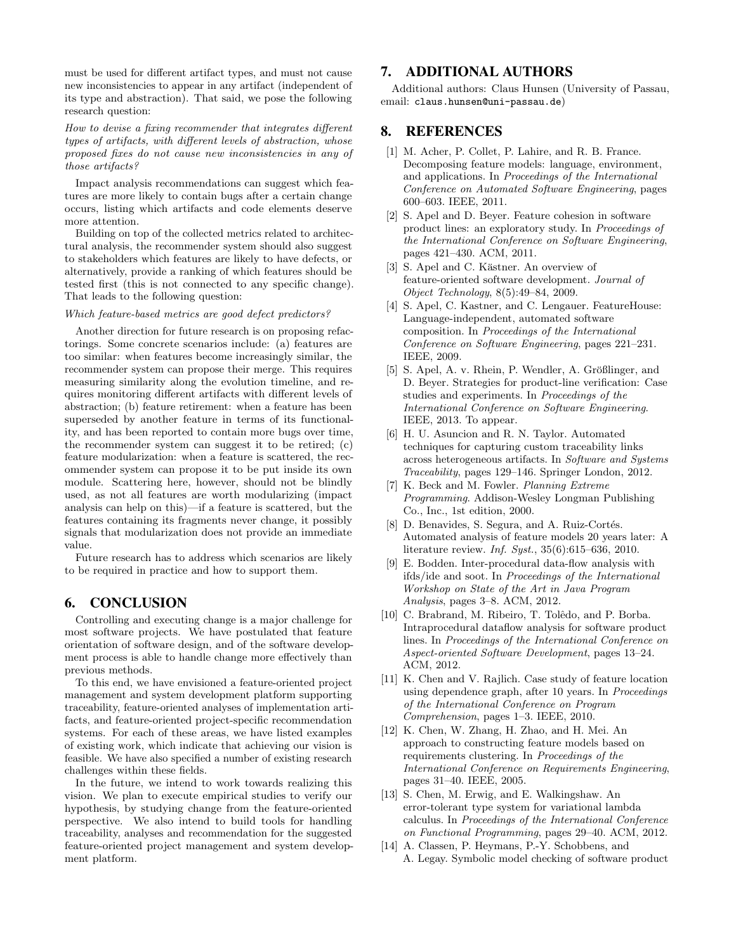must be used for different artifact types, and must not cause new inconsistencies to appear in any artifact (independent of its type and abstraction). That said, we pose the following research question:

How to devise a fixing recommender that integrates different types of artifacts, with different levels of abstraction, whose proposed fixes do not cause new inconsistencies in any of those artifacts?

Impact analysis recommendations can suggest which features are more likely to contain bugs after a certain change occurs, listing which artifacts and code elements deserve more attention.

Building on top of the collected metrics related to architectural analysis, the recommender system should also suggest to stakeholders which features are likely to have defects, or alternatively, provide a ranking of which features should be tested first (this is not connected to any specific change). That leads to the following question:

#### Which feature-based metrics are good defect predictors?

Another direction for future research is on proposing refactorings. Some concrete scenarios include: (a) features are too similar: when features become increasingly similar, the recommender system can propose their merge. This requires measuring similarity along the evolution timeline, and requires monitoring different artifacts with different levels of abstraction; (b) feature retirement: when a feature has been superseded by another feature in terms of its functionality, and has been reported to contain more bugs over time, the recommender system can suggest it to be retired; (c) feature modularization: when a feature is scattered, the recommender system can propose it to be put inside its own module. Scattering here, however, should not be blindly used, as not all features are worth modularizing (impact analysis can help on this)—if a feature is scattered, but the features containing its fragments never change, it possibly signals that modularization does not provide an immediate value.

Future research has to address which scenarios are likely to be required in practice and how to support them.

## 6. CONCLUSION

Controlling and executing change is a major challenge for most software projects. We have postulated that feature orientation of software design, and of the software development process is able to handle change more effectively than previous methods.

To this end, we have envisioned a feature-oriented project management and system development platform supporting traceability, feature-oriented analyses of implementation artifacts, and feature-oriented project-specific recommendation systems. For each of these areas, we have listed examples of existing work, which indicate that achieving our vision is feasible. We have also specified a number of existing research challenges within these fields.

In the future, we intend to work towards realizing this vision. We plan to execute empirical studies to verify our hypothesis, by studying change from the feature-oriented perspective. We also intend to build tools for handling traceability, analyses and recommendation for the suggested feature-oriented project management and system development platform.

# 7. ADDITIONAL AUTHORS

Additional authors: Claus Hunsen (University of Passau, email: claus.hunsen@uni-passau.de)

## 8. REFERENCES

- <span id="page-6-11"></span>[1] M. Acher, P. Collet, P. Lahire, and R. B. France. Decomposing feature models: language, environment, and applications. In Proceedings of the International Conference on Automated Software Engineering, pages 600–603. IEEE, 2011.
- <span id="page-6-12"></span>[2] S. Apel and D. Beyer. Feature cohesion in software product lines: an exploratory study. In Proceedings of the International Conference on Software Engineering, pages 421–430. ACM, 2011.
- <span id="page-6-1"></span>[3] S. Apel and C. Kästner. An overview of feature-oriented software development. Journal of Object Technology, 8(5):49–84, 2009.
- <span id="page-6-5"></span>[4] S. Apel, C. Kastner, and C. Lengauer. FeatureHouse: Language-independent, automated software composition. In Proceedings of the International Conference on Software Engineering, pages 221–231. IEEE, 2009.
- <span id="page-6-9"></span>[5] S. Apel, A. v. Rhein, P. Wendler, A. Größlinger, and D. Beyer. Strategies for product-line verification: Case studies and experiments. In Proceedings of the International Conference on Software Engineering. IEEE, 2013. To appear.
- <span id="page-6-4"></span>[6] H. U. Asuncion and R. N. Taylor. Automated techniques for capturing custom traceability links across heterogeneous artifacts. In Software and Systems Traceability, pages 129–146. Springer London, 2012.
- <span id="page-6-2"></span>[7] K. Beck and M. Fowler. Planning Extreme Programming. Addison-Wesley Longman Publishing Co., Inc., 1st edition, 2000.
- <span id="page-6-13"></span>[8] D. Benavides, S. Segura, and A. Ruiz-Cortés. Automated analysis of feature models 20 years later: A literature review. Inf. Syst., 35(6):615–636, 2010.
- <span id="page-6-10"></span>[9] E. Bodden. Inter-procedural data-flow analysis with ifds/ide and soot. In Proceedings of the International Workshop on State of the Art in Java Program Analysis, pages 3–8. ACM, 2012.
- <span id="page-6-6"></span>[10] C. Brabrand, M. Ribeiro, T. Tolêdo, and P. Borba. Intraprocedural dataflow analysis for software product lines. In Proceedings of the International Conference on Aspect-oriented Software Development, pages 13–24. ACM, 2012.
- <span id="page-6-3"></span>[11] K. Chen and V. Rajlich. Case study of feature location using dependence graph, after 10 years. In Proceedings of the International Conference on Program Comprehension, pages 1–3. IEEE, 2010.
- <span id="page-6-0"></span>[12] K. Chen, W. Zhang, H. Zhao, and H. Mei. An approach to constructing feature models based on requirements clustering. In Proceedings of the International Conference on Requirements Engineering, pages 31–40. IEEE, 2005.
- <span id="page-6-7"></span>[13] S. Chen, M. Erwig, and E. Walkingshaw. An error-tolerant type system for variational lambda calculus. In Proceedings of the International Conference on Functional Programming, pages 29–40. ACM, 2012.
- <span id="page-6-8"></span>[14] A. Classen, P. Heymans, P.-Y. Schobbens, and A. Legay. Symbolic model checking of software product